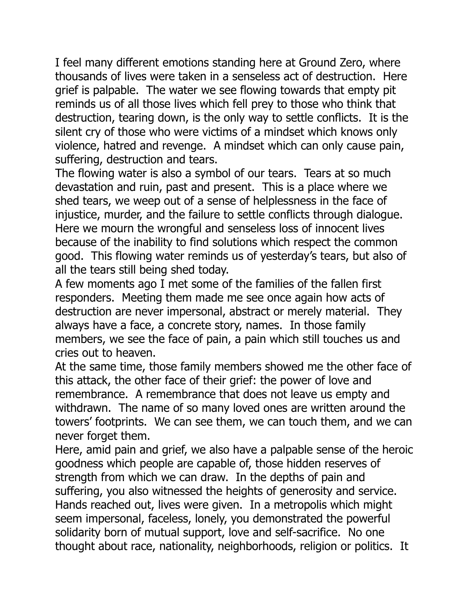I feel many different emotions standing here at Ground Zero, where thousands of lives were taken in a senseless act of destruction. Here grief is palpable. The water we see flowing towards that empty pit reminds us of all those lives which fell prey to those who think that destruction, tearing down, is the only way to settle conflicts. It is the silent cry of those who were victims of a mindset which knows only violence, hatred and revenge. A mindset which can only cause pain, suffering, destruction and tears.

The flowing water is also a symbol of our tears. Tears at so much devastation and ruin, past and present. This is a place where we shed tears, we weep out of a sense of helplessness in the face of injustice, murder, and the failure to settle conflicts through dialogue. Here we mourn the wrongful and senseless loss of innocent lives because of the inability to find solutions which respect the common good. This flowing water reminds us of yesterday's tears, but also of all the tears still being shed today.

A few moments ago I met some of the families of the fallen first responders. Meeting them made me see once again how acts of destruction are never impersonal, abstract or merely material. They always have a face, a concrete story, names. In those family members, we see the face of pain, a pain which still touches us and cries out to heaven.

At the same time, those family members showed me the other face of this attack, the other face of their grief: the power of love and remembrance. A remembrance that does not leave us empty and withdrawn. The name of so many loved ones are written around the towers' footprints. We can see them, we can touch them, and we can never forget them.

Here, amid pain and grief, we also have a palpable sense of the heroic goodness which people are capable of, those hidden reserves of strength from which we can draw. In the depths of pain and suffering, you also witnessed the heights of generosity and service. Hands reached out, lives were given. In a metropolis which might seem impersonal, faceless, lonely, you demonstrated the powerful solidarity born of mutual support, love and self-sacrifice. No one thought about race, nationality, neighborhoods, religion or politics. It